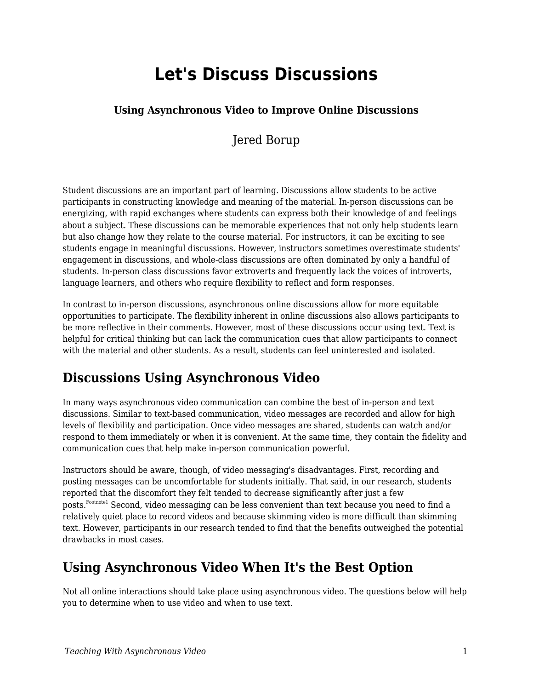# **Let's Discuss Discussions**

#### **Using Asynchronous Video to Improve Online Discussions**

Jered Borup

Student discussions are an important part of learning. Discussions allow students to be active participants in constructing knowledge and meaning of the material. In-person discussions can be energizing, with rapid exchanges where students can express both their knowledge of and feelings about a subject. These discussions can be memorable experiences that not only help students learn but also change how they relate to the course material. For instructors, it can be exciting to see students engage in meaningful discussions. However, instructors sometimes overestimate students' engagement in discussions, and whole-class discussions are often dominated by only a handful of students. In-person class discussions favor extroverts and frequently lack the voices of introverts, language learners, and others who require flexibility to reflect and form responses.

In contrast to in-person discussions, asynchronous online discussions allow for more equitable opportunities to participate. The flexibility inherent in online discussions also allows participants to be more reflective in their comments. However, most of these discussions occur using text. Text is helpful for critical thinking but can lack the communication cues that allow participants to connect with the material and other students. As a result, students can feel uninterested and isolated.

### **Discussions Using Asynchronous Video**

In many ways asynchronous video communication can combine the best of in-person and text discussions. Similar to text-based communication, video messages are recorded and allow for high levels of flexibility and participation. Once video messages are shared, students can watch and/or respond to them immediately or when it is convenient. At the same time, they contain the fidelity and communication cues that help make in-person communication powerful.

Instructors should be aware, though, of video messaging's disadvantages. First, recording and posting messages can be uncomfortable for students initially. That said, in our research, students reported that the discomfort they felt tended to decrease significantly after just a few posts.<sup>Footnote1</sup> Second, video messaging can be less convenient than text because you need to find a relatively quiet place to record videos and because skimming video is more difficult than skimming text. However, participants in our research tended to find that the benefits outweighed the potential drawbacks in most cases.

#### **Using Asynchronous Video When It's the Best Option**

Not all online interactions should take place using asynchronous video. The questions below will help you to determine when to use video and when to use text.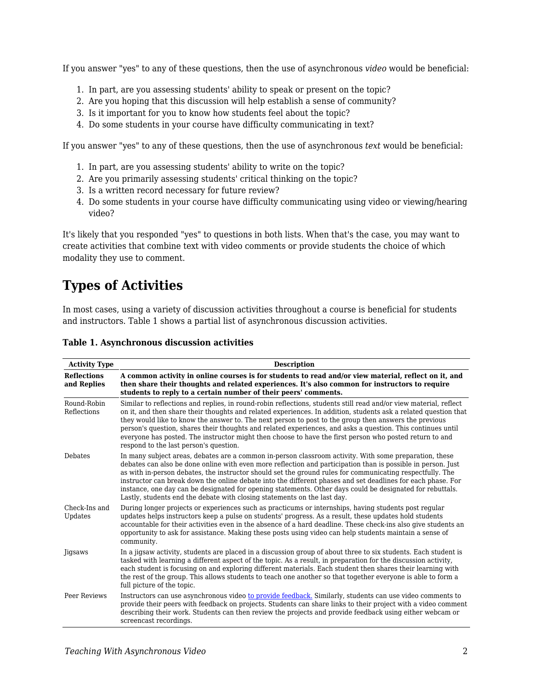If you answer "yes" to any of these questions, then the use of asynchronous *video* would be beneficial:

- 1. In part, are you assessing students' ability to speak or present on the topic?
- 2. Are you hoping that this discussion will help establish a sense of community?
- 3. Is it important for you to know how students feel about the topic?
- 4. Do some students in your course have difficulty communicating in text?

If you answer "yes" to any of these questions, then the use of asynchronous *text* would be beneficial:

- 1. In part, are you assessing students' ability to write on the topic?
- 2. Are you primarily assessing students' critical thinking on the topic?
- 3. Is a written record necessary for future review?
- 4. Do some students in your course have difficulty communicating using video or viewing/hearing video?

It's likely that you responded "yes" to questions in both lists. When that's the case, you may want to create activities that combine text with video comments or provide students the choice of which modality they use to comment.

### **Types of Activities**

In most cases, using a variety of discussion activities throughout a course is beneficial for students and instructors. Table 1 shows a partial list of asynchronous discussion activities.

| <b>Activity Type</b>              | <b>Description</b>                                                                                                                                                                                                                                                                                                                                                                                                                                                                                                                                                                                                                          |
|-----------------------------------|---------------------------------------------------------------------------------------------------------------------------------------------------------------------------------------------------------------------------------------------------------------------------------------------------------------------------------------------------------------------------------------------------------------------------------------------------------------------------------------------------------------------------------------------------------------------------------------------------------------------------------------------|
| <b>Reflections</b><br>and Replies | A common activity in online courses is for students to read and/or view material, reflect on it, and<br>then share their thoughts and related experiences. It's also common for instructors to require<br>students to reply to a certain number of their peers' comments.                                                                                                                                                                                                                                                                                                                                                                   |
| Round-Robin<br>Reflections        | Similar to reflections and replies, in round-robin reflections, students still read and/or view material, reflect<br>on it, and then share their thoughts and related experiences. In addition, students ask a related question that<br>they would like to know the answer to. The next person to post to the group then answers the previous<br>person's question, shares their thoughts and related experiences, and asks a question. This continues until<br>everyone has posted. The instructor might then choose to have the first person who posted return to and<br>respond to the last person's question.                           |
| <b>Debates</b>                    | In many subject areas, debates are a common in-person classroom activity. With some preparation, these<br>debates can also be done online with even more reflection and participation than is possible in person. Just<br>as with in-person debates, the instructor should set the ground rules for communicating respectfully. The<br>instructor can break down the online debate into the different phases and set deadlines for each phase. For<br>instance, one day can be designated for opening statements. Other days could be designated for rebuttals.<br>Lastly, students end the debate with closing statements on the last day. |
| Check-Ins and<br>Updates          | During longer projects or experiences such as practicums or internships, having students post regular<br>updates helps instructors keep a pulse on students' progress. As a result, these updates hold students<br>accountable for their activities even in the absence of a hard deadline. These check-ins also give students an<br>opportunity to ask for assistance. Making these posts using video can help students maintain a sense of<br>community.                                                                                                                                                                                  |
| <b>Jigsaws</b>                    | In a jigsaw activity, students are placed in a discussion group of about three to six students. Each student is<br>tasked with learning a different aspect of the topic. As a result, in preparation for the discussion activity,<br>each student is focusing on and exploring different materials. Each student then shares their learning with<br>the rest of the group. This allows students to teach one another so that together everyone is able to form a<br>full picture of the topic.                                                                                                                                              |
| Peer Reviews                      | Instructors can use asynchronous video to provide feedback. Similarly, students can use video comments to<br>provide their peers with feedback on projects. Students can share links to their project with a video comment<br>describing their work. Students can then review the projects and provide feedback using either webcam or<br>screencast recordings.                                                                                                                                                                                                                                                                            |

#### **Table 1. Asynchronous discussion activities**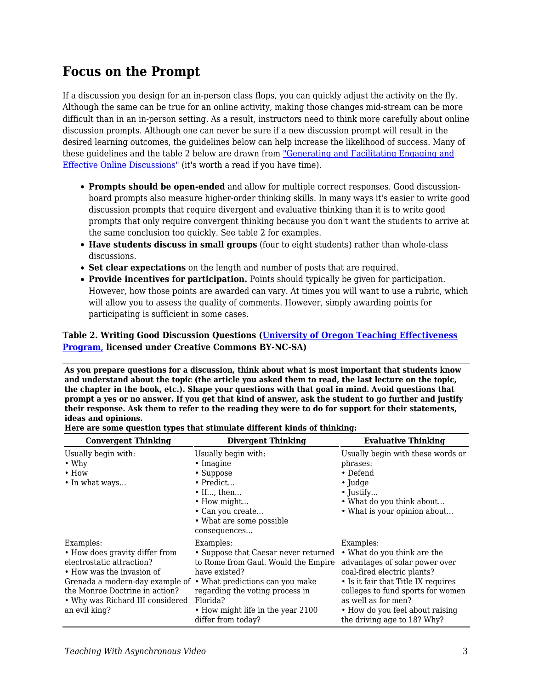#### **Focus on the Prompt**

If a discussion you design for an in-person class flops, you can quickly adjust the activity on the fly. Although the same can be true for an online activity, making those changes mid-stream can be more difficult than in an in-person setting. As a result, instructors need to think more carefully about online discussion prompts. Although one can never be sure if a new discussion prompt will result in the desired learning outcomes, the guidelines below can help increase the likelihood of success. Many of these guidelines and the table 2 below are drawn from ["Generating and Facilitating Engaging and](https://drive.google.com/file/d/1w3OIJtupSIHcCMozTZxkj05LcWWo4Zn0/view) [Effective Online Discussions"](https://drive.google.com/file/d/1w3OIJtupSIHcCMozTZxkj05LcWWo4Zn0/view) (it's worth a read if you have time).

- **Prompts should be open-ended** and allow for multiple correct responses. Good discussionboard prompts also measure higher-order thinking skills. In many ways it's easier to write good discussion prompts that require divergent and evaluative thinking than it is to write good prompts that only require convergent thinking because you don't want the students to arrive at the same conclusion too quickly. See table 2 for examples.
- **Have students discuss in small groups** (four to eight students) rather than whole-class discussions.
- **Set clear expectations** on the length and number of posts that are required.
- **Provide incentives for participation.** Points should typically be given for participation. However, how those points are awarded can vary. At times you will want to use a rubric, which will allow you to assess the quality of comments. However, simply awarding points for participating is sufficient in some cases.

#### **Table 2. Writing Good Discussion Questions ([University of Oregon Teaching Effectiveness](https://tep.uoregon.edu/) [Program,](https://tep.uoregon.edu/) licensed under Creative Commons BY-NC-SA)**

**As you prepare questions for a discussion, think about what is most important that students know and understand about the topic (the article you asked them to read, the last lecture on the topic, the chapter in the book, etc.). Shape your questions with that goal in mind. Avoid questions that prompt a yes or no answer. If you get that kind of answer, ask the student to go further and justify their response. Ask them to refer to the reading they were to do for support for their statements, ideas and opinions.**

| <b>Convergent Thinking</b>                                                                                                                                                                                                      | <b>Divergent Thinking</b>                                                                                                                                                                                                                              | <b>Evaluative Thinking</b>                                                                                                                                                                                                                                                     |
|---------------------------------------------------------------------------------------------------------------------------------------------------------------------------------------------------------------------------------|--------------------------------------------------------------------------------------------------------------------------------------------------------------------------------------------------------------------------------------------------------|--------------------------------------------------------------------------------------------------------------------------------------------------------------------------------------------------------------------------------------------------------------------------------|
| Usually begin with:<br>$\cdot$ Why<br>$\cdot$ How<br>• In what ways                                                                                                                                                             | Usually begin with:<br>$\cdot$ Imagine<br>• Suppose<br>$\bullet$ Predict<br>$\bullet$ If, then<br>• How might<br>• Can you create<br>• What are some possible<br>consequences                                                                          | Usually begin with these words or<br>phrases:<br>$\bullet$ Defend<br>$\cdot$ Judge<br>$\bullet$ Justify<br>• What do you think about<br>• What is your opinion about                                                                                                           |
| Examples:<br>• How does gravity differ from<br>electrostatic attraction?<br>• How was the invasion of<br>Grenada a modern-day example of<br>the Monroe Doctrine in action?<br>• Why was Richard III considered<br>an evil king? | Examples:<br>• Suppose that Caesar never returned<br>to Rome from Gaul. Would the Empire<br>have existed?<br>• What predictions can you make<br>regarding the voting process in<br>Florida?<br>• How might life in the year 2100<br>differ from today? | Examples:<br>• What do you think are the<br>advantages of solar power over<br>coal-fired electric plants?<br>• Is it fair that Title IX requires<br>colleges to fund sports for women<br>as well as for men?<br>• How do you feel about raising<br>the driving age to 18? Why? |

| Here are some question types that stimulate different kinds of thinking: |  |
|--------------------------------------------------------------------------|--|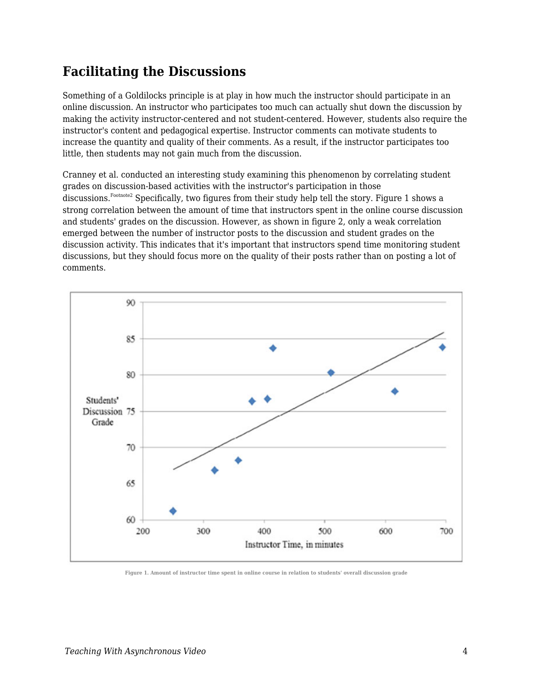### **Facilitating the Discussions**

Something of a Goldilocks principle is at play in how much the instructor should participate in an online discussion. An instructor who participates too much can actually shut down the discussion by making the activity instructor-centered and not student-centered. However, students also require the instructor's content and pedagogical expertise. Instructor comments can motivate students to increase the quantity and quality of their comments. As a result, if the instructor participates too little, then students may not gain much from the discussion.

Cranney et al. conducted an interesting study examining this phenomenon by correlating student grades on discussion-based activities with the instructor's participation in those discussions.<sup>Footnote2</sup> Specifically, two figures from their study help tell the story. Figure 1 shows a strong correlation between the amount of time that instructors spent in the online course discussion and students' grades on the discussion. However, as shown in figure 2, only a weak correlation emerged between the number of instructor posts to the discussion and student grades on the discussion activity. This indicates that it's important that instructors spend time monitoring student discussions, but they should focus more on the quality of their posts rather than on posting a lot of comments.



**Figure 1. Amount of instructor time spent in online course in relation to students' overall discussion grade**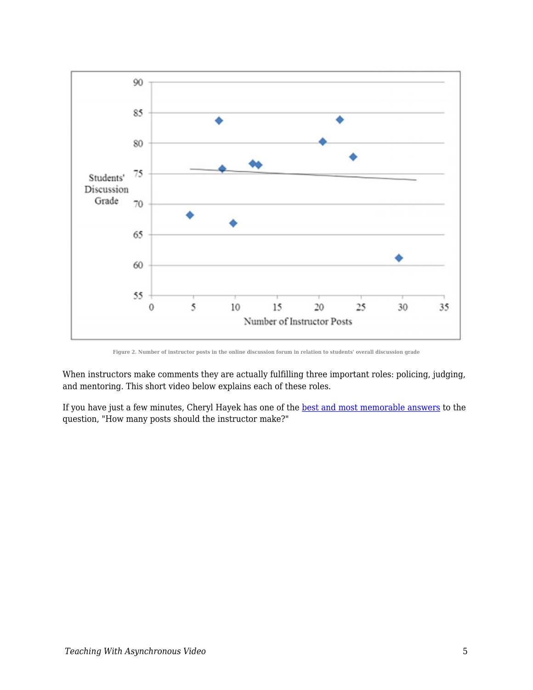

**Figure 2. Number of instructor posts in the online discussion forum in relation to students' overall discussion grade**

When instructors make comments they are actually fulfilling three important roles: policing, judging, and mentoring. This short video below explains each of these roles.

If you have just a few minutes, Cheryl Hayek has one of the **best and most memorable answers** to the question, "How many posts should the instructor make?"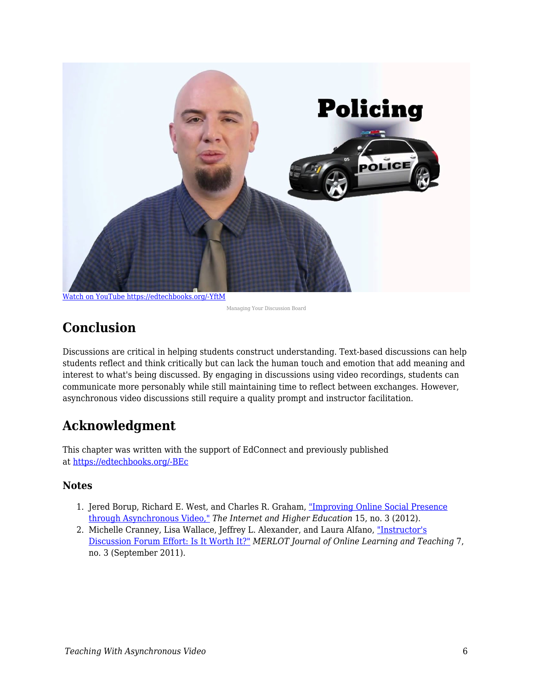

[Watch on YouTube https://edtechbooks.org/-YftM](https://www.youtube.com/embed/JSBrxMVdpA4?autoplay=1&rel=0&showinfo=0&modestbranding=1)

Managing Your Discussion Board

# **Conclusion**

Discussions are critical in helping students construct understanding. Text-based discussions can help students reflect and think critically but can lack the human touch and emotion that add meaning and interest to what's being discussed. By engaging in discussions using video recordings, students can communicate more personably while still maintaining time to reflect between exchanges. However, asynchronous video discussions still require a quality prompt and instructor facilitation.

# **Acknowledgment**

This chapter was written with the support of EdConnect and previously published at [https://edtechbooks.org/-BEc](https://er.educause.edu/blogs/2021/2/lets-discuss-discussions-using-asynchronous-video-to-improve-online-discussions)

#### **Notes**

- 1. Jered Borup, Richard E. West, and Charles R. Graham, ["Improving Online Social Presence](https://drive.google.com/file/d/1hsGAvjsZdjiWHpb_zBZZFEMWBM9eusqU/view) [through Asynchronous Video,"](https://drive.google.com/file/d/1hsGAvjsZdjiWHpb_zBZZFEMWBM9eusqU/view) *The Internet and Higher Education* 15, no. 3 (2012).
- 2. Michelle Cranney, Lisa Wallace, Jeffrey L. Alexander, and Laura Alfano, ["Instructor's](http://jolt.merlot.org/vol7no3/cranney_0911.pdf) [Discussion Forum Effort: Is It Worth It?"](http://jolt.merlot.org/vol7no3/cranney_0911.pdf) *MERLOT Journal of Online Learning and Teaching* 7, no. 3 (September 2011).